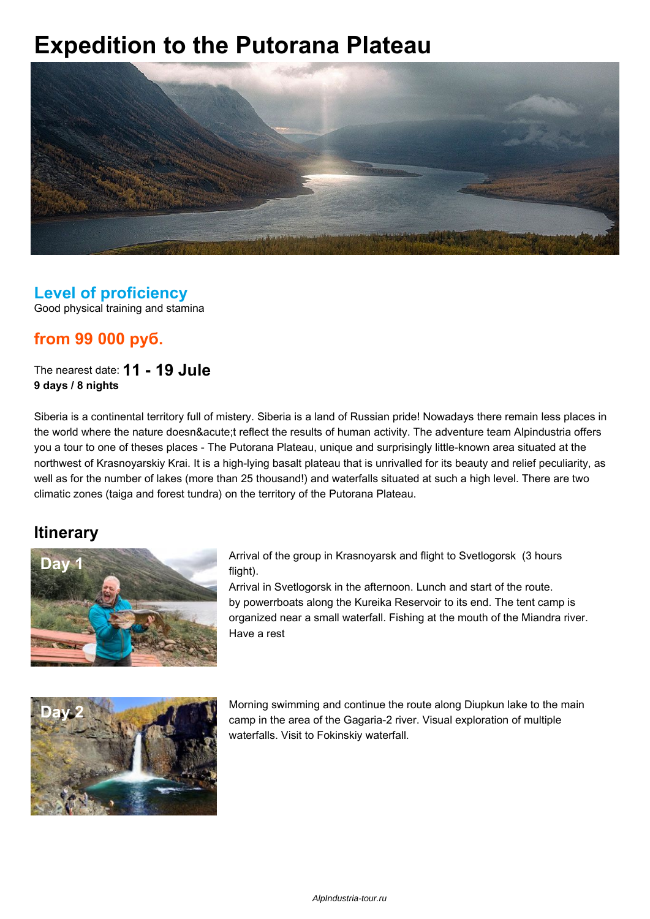# **Expedition to the Putorana Plateau**



#### **Level of proficiency**

Good physical training and stamina

## **from 99 000 руб.**

The nearest date: **11 - 19 Jule 9 days / 8 nights**

Siberia is a continental territory full of mistery. Siberia is a land of Russian pride! Nowadays there remain less places in the world where the nature doesn´t reflect the results of human activity. The adventure team Alpindustria offers you a tour to one of theses places - The Putorana Plateau, unique and surprisingly little-known area situated at the northwest of Krasnoyarskiy Krai. It is a high-lying basalt plateau that is unrivalled for its beauty and relief peculiarity, as well as for the number of lakes (more than 25 thousand!) and waterfalls situated at such a high level. There are two climatic zones (taiga and forest tundra) on the territory of the Putorana Plateau.

#### **Itinerary**



**Day 1 Day 1 Arrival of the group in Krasnoyarsk and flight to Svetlogorsk (3 hours** flight).

> Arrival in Svetlogorsk in the afternoon. Lunch and start of the route. by powerrboats along the Kureika Reservoir to its end. The tent camp is organized near a small waterfall. Fishing at the mouth of the Miandra river. Have a rest



**Day 2** Morning swimming and continue the route along Diupkun lake to the main camp in the area of the Gagaria-2 river. Visual exploration of multiple waterfalls. Visit to Fokinskiy waterfall.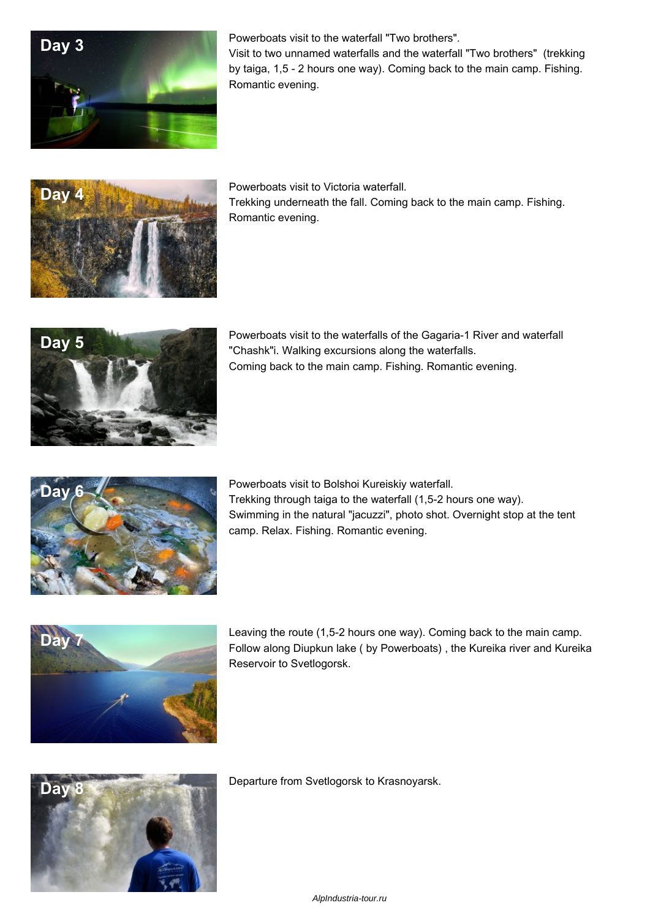

by taiga, 1,5 - 2 hours one way). Coming back to the main camp. Fishing. Romantic evening.



Trekking underneath the fall. Coming back to the main camp. Fishing. Romantic evening.



**Day 5 <b>Powerboats** visit to the waterfalls of the Gagaria-1 River and waterfall **Day 5 Powerboats Powerboats** visit to the waterfalls of the Cagaria-1 River and waterfall "Chashk"i. Walking excursions along the waterfalls. Coming back to the main camp. Fishing. Romantic evening.



**Day 6** Powerboats visit to Bolshoi Kureiskiy waterfall. Trekking through taiga to the waterfall (1,5-2 hours one way). Swimming in the natural "jacuzzi", photo shot. Overnight stop at the tent camp. Relax. Fishing. Romantic evening.



**Day 7 Leaving the route (1,5-2 hours one way). Coming back to the main camp.** Follow along Diupkun lake ( by Powerboats) , the Kureika river and Kureika Reservoir to Svetlogorsk.